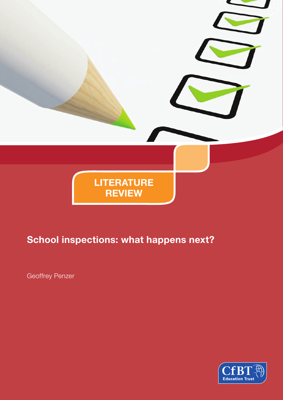

# **School inspections: what happens next?**

Geoffrey Penzer

**CfB Education Trust**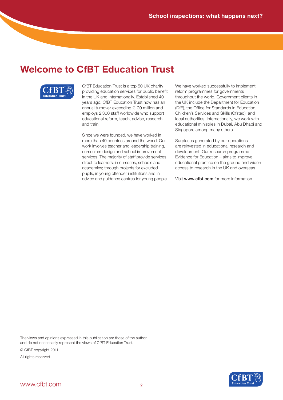## **Welcome to CfBT Education Trust**



CfBT Education Trust is a top 50 UK charity providing education services for public benefit in the UK and internationally. Established 40 years ago, CfBT Education Trust now has an annual turnover exceeding £100 million and employs 2,300 staff worldwide who support educational reform, teach, advise, research and train.

Since we were founded, we have worked in more than 40 countries around the world. Our work involves teacher and leadership training, curriculum design and school improvement services. The majority of staff provide services direct to learners: in nurseries, schools and academies; through projects for excluded pupils; in young offender institutions and in advice and guidance centres for young people. We have worked successfully to implement reform programmes for governments throughout the world. Government clients in the UK include the Department for Education (DfE), the Office for Standards in Education, Children's Services and Skills (Ofsted), and local authorities. Internationally, we work with educational ministries in Dubai, Abu Dhabi and Singapore among many others.

Surpluses generated by our operations are reinvested in educational research and development. Our research programme – Evidence for Education – aims to improve educational practice on the ground and widen access to research in the UK and overseas.

Visit www.cfbt.com for more information.

The views and opinions expressed in this publication are those of the author and do not necessarily represent the views of CfBT Education Trust.

© CfBT copyright 2011

All rights reserved

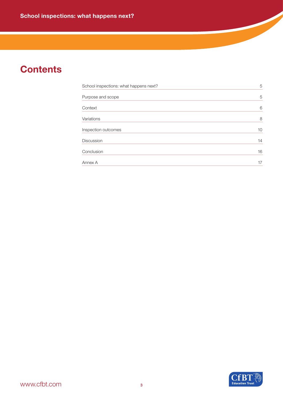# **Contents**

| School inspections: what happens next? | 5  |
|----------------------------------------|----|
|                                        |    |
| Purpose and scope                      | 5  |
| Context                                | 6  |
| Variations                             | 8  |
| Inspection outcomes                    | 10 |
| <b>Discussion</b>                      | 14 |
| Conclusion                             | 16 |
| Annex A                                | 17 |

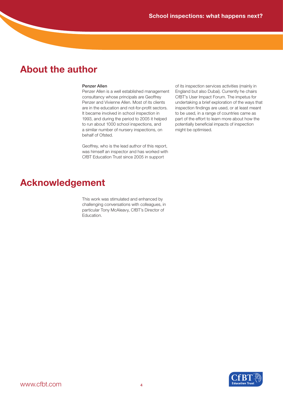## **About the author**

### Penzer Allen

Penzer Allen is a well established management consultancy whose principals are Geoffrey Penzer and Vivienne Allen. Most of its clients are in the education and not-for-profit sectors. It became involved in school inspection in 1993, and during the period to 2005 it helped to run about 1000 school inspections, and a similar number of nursery inspections, on behalf of Ofsted.

Geoffrey, who is the lead author of this report, was himself an inspector and has worked with CfBT Education Trust since 2005 in support

of its inspection services activities (mainly in England but also Dubai). Currently he chairs CfBT's User Impact Forum. The impetus for undertaking a brief exploration of the ways that inspection findings are used, or at least meant to be used, in a range of countries came as part of the effort to learn more about how the potentially beneficial impacts of inspection might be optimised.

## **Acknowledgement**

This work was stimulated and enhanced by challenging conversations with colleagues, in particular Tony McAleavy, CfBT's Director of Education.

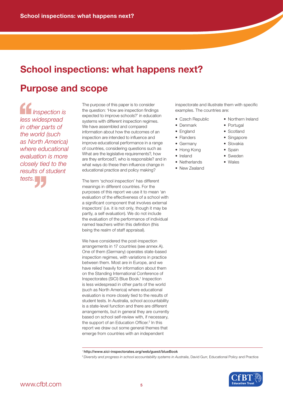## **School inspections: what happens next?**

## **Purpose and scope**

*Inspection is less widespread in other parts of the world (such as North America) where educational evaluation is more closely tied to the tests.* '' *results of student*  <sup>1</sup><br>
Inspe<br>
less wides<br>
in other pa<br>
the world

The purpose of this paper is to consider the question: 'How are inspection findings expected to improve schools?' in education systems with different inspection regimes. We have assembled and compared information about how the outcomes of an inspection are intended to influence and improve educational performance in a range of countries, considering questions such as What are the legislative requirements?, how are they enforced?, who is responsible? and in what ways do these then influence change in educational practice and policy making?

The term 'school inspection' has different meanings in different countries. For the purposes of this report we use it to mean 'an evaluation of the effectiveness of a school with a significant component that involves external inspectors' (i.e. it is not only, though it may be partly, a self evaluation). We do not include the evaluation of the performance of individual named teachers within this definition (this being the realm of staff appraisal).

We have considered the post-inspection arrangements in 17 countries (see annex A). One of them (Germany) operates state-based inspection regimes, with variations in practice between them. Most are in Europe, and we have relied heavily for information about them on the Standing International Conference of Inspectorates (SICI) Blue Book.<sup>1</sup> Inspection is less widespread in other parts of the world (such as North America) where educational evaluation is more closely tied to the results of student tests. In Australia, school accountability is a state-level function and there are different arrangements, but in general they are currently based on school self-review with, if necessary, the support of an Education Officer.<sup>2</sup> In this report we draw out some general themes that emerge from countries with an independent

inspectorate and illustrate them with specific examples. The countries are:

- 
- Denmark Portugal
- 
- 
- Germany Slovakia
- Hong Kong Spain
- Ireland Sweden
- Netherlands Wales
- New Zealand
- Czech Republic Northern Ireland
	-
- England Scotland
- Flanders Singapore
	-
	-
	-
	-

1 http://www.sici-inspectorates.org/web/guest/blueBook

<sup>2</sup> *Diversity and progress in school accountability systems in Australia*, David Gurr, Educational Policy and Practice

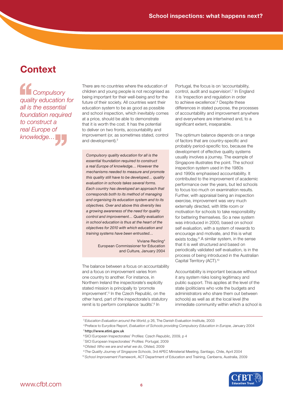# **Context**

*Compulsory quality education for all is the essential foundation required to construct a real Europe of knowledge…* <sup>1</sup>Com<br>
quality ed<br>
all is the e<br>
foundation truct a<br>
pe of<br>
dge...

There are no countries where the education of children and young people is not recognised as being important for their well-being and for the future of their society. All countries want their education system to be as good as possible and school inspection, which inevitably comes at a price, should be able to demonstrate that it is worth the cost. It has the potential to deliver on two fronts, accountability and improvement (or, as sometimes stated, control and development).<sup>3</sup>

*Compulsory quality education for all is the essential foundation required to construct a real Europe of knowledge… However the mechanisms needed to measure and promote this quality still have to be developed… quality evaluation in schools takes several forms. Each country has developed an approach that corresponds both to its method of managing and organising its education system and to its objectives. Over and above this diversity lies a growing awareness of the need for quality control and improvement… Quality evaluation in school education is thus at the heart of the objectives for 2010 with which education and training systems have been entrusted…*

> Viviane Recling4 European Commissioner for Education and Culture, January 2004

The balance between a focus on accountability and a focus on improvement varies from one country to another. For instance, in Northern Ireland the inspectorate's explicitly stated mission is principally to 'promote improvement'.<sup>5</sup> In the Czech Republic, on the other hand, part of the inspectorate's statutory remit is to perform compliance 'audits'.<sup>6</sup> In

Portugal, the focus is on 'accountability, control, audit and supervision'.7 In England it is 'inspection and regulation in order to achieve excellence'.<sup>8</sup> Despite these differences in stated purpose, the processes of accountability and improvement anywhere and everywhere are intertwined and, to a significant extent, inseparable.

The optimum balance depends on a range of factors that are country-specific and probably period-specific too, because the development of effective quality systems usually involves a journey. The example of Singapore illustrates the point. The school inspection system used in the 1980s and 1990s emphasised accountability. It contributed to the improvement of academic performance over the years, but led schools to focus too much on examination results. Further, with appraisal being an inspection exercise, improvement was very much externally directed, with little room or motivation for schools to take responsibility for bettering themselves. So a new system was introduced in 2000, based on school self evaluation, with a system of rewards to encourage and motivate, and this is what exists today.<sup>9</sup> A similar system, in the sense that it is well structured and based on periodically validated self evaluation, is in the process of being introduced in the Australian Capital Territory (ACT).10

Accountability is important because without it any system risks losing legitimacy and public support. This applies at the level of the state (politicians who vote the budgets and administrators who share them out between schools) as well as at the local level (the immediate community within which a school is

4 Preface to Eurydice Report, *Evaluation of Schools providing Compulsory Education in Europe*, January 2004 5 http://www.etini.gov.uk

- 6 SICI European Inspectorates' Profiles: Czech Republic, 2009, p 4
- 7 SICI European Inspectorates' Profiles: Portugal, 2009
- 8 *Ofsted: Who we are and what we do*, Ofsted, 2009
- 9 *The Quality Journey of Singapore Schools*, 3rd APEC Ministerial Meeting, Santiago, Chile, April 2004
- 10 *School Improvement Framework*, ACT Department of Education and Training, Canberra, Australia, 2009



<sup>3</sup> *Education Evaluation around the World*, p 26, The Danish Evaluation Institute, 2003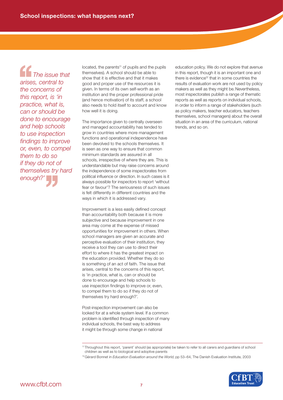*The issue that arises, central to the concerns of this report, is 'in practice, what is, can or should be done to encourage and help schools to use inspection findings to improve or, even, to compel them to do so if they do not of enough?'* '' *themselves try hard*  The is<br>
arises, centre conce<br>
this report

located, the parents<sup>11</sup> of pupils and the pupils themselves). A school should be able to show that it is effective and that it makes good and proper use of the resources it is given. In terms of its own self-worth as an institution and the proper professional pride (and hence motivation) of its staff, a school also needs to hold itself to account and know how well it is doing.

The importance given to centrally overseen and managed accountability has tended to grow in countries where more management functions and operational independence have been devolved to the schools themselves. It is seen as one way to ensure that common minimum standards are assured in all schools, irrespective of where they are. This is understandable but may raise concerns around the independence of some inspectorates from political influence or direction. In such cases is it always possible for inspectors to report 'without fear or favour'? The seriousness of such issues is felt differently in different countries and the ways in which it is addressed vary.

Improvement is a less easily defined concept than accountability both because it is more subjective and because improvement in one area may come at the expense of missed opportunities for improvement in others. When school managers are given an accurate and perceptive evaluation of their institution, they receive a tool they can use to direct their effort to where it has the greatest impact on the education provided. Whether they do so is something of an act of faith. The issue that arises, central to the concerns of this report, is 'in practice, what is, can or should be done to encourage and help schools to use inspection findings to improve or, even, to compel them to do so if they do not of themselves try hard enough?'.

Post-inspection improvement can also be looked for at a whole system level. If a common problem is identified through inspection of many individual schools, the best way to address it might be through some change in national

education policy. We do not explore that avenue in this report, though it is an important one and there is evidence<sup>12</sup> that in some countries the results of evaluation work are not used by policy makers as well as they might be. Nevertheless, most inspectorates publish a range of thematic reports as well as reports on individual schools, in order to inform a range of stakeholders (such as policy makers, teacher educators, teachers themselves, school managers) about the overall situation in an area of the curriculum, national trends, and so on.

<sup>12</sup> Gérard Bonnet in *Education Evaluation around the World*, pp 53–64, The Danish Evaluation Institute, 2003



<sup>11</sup> Throughout this report, 'parent' should (as appropriate) be taken to refer to all carers and guardians of school children as well as to biological and adoptive parents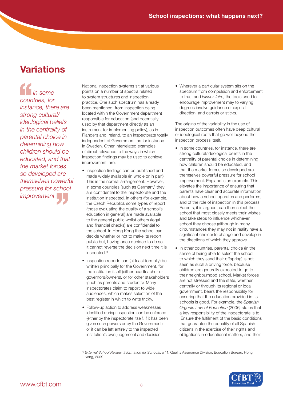# **Variations**

*In some countries, for instance, there are strong cultural/ ideological beliefs in the centrality of parental choice in determining how children should be educated, and that the market forces so developed are themselves powerful improvement.* '' *pressure for school*  <sup>1</sup><br> *In so*<br>
countries,<br>
instance,<br>
strong cul

National inspection systems sit at various points on a number of spectra related to system structures and inspection practice. One such spectrum has already been mentioned, from inspection being located within the Government department responsible for education (and potentially used by that department directly as an instrument for implementing policy), as in Flanders and Ireland, to an inspectorate totally independent of Government, as for instance in Sweden. Other interrelated examples, of direct relevance to the ways in which inspection findings may be used to achieve improvement, are:

- Inspection findings can be published and made widely available (in whole or in part). This is the normal arrangement. However, in some countries (such as Germany) they are confidential to the inspectorate and the institution inspected. In others (for example, the Czech Republic), some types of report (those evaluating the quality of a school's education in general) are made available to the general public whilst others (legal and financial checks) are confidential to the school. In Hong Kong the school can decide whether or not to make its report public but, having once decided to do so, it cannot reverse the decision next time it is inspected.13
- Inspection reports can (at least formally) be written principally for the Government, for the institution itself (either headteacher or governors/owners), or for other stakeholders (such as parents and students). Many inspectorates claim to report to wide audiences, which makes selection of the best register in which to write tricky.
- Follow-up action to address weaknesses identified during inspection can be enforced (either by the inspectorate itself, if it has been given such powers or by the Government) or it can be left entirely to the inspected institution's own judgement and decision.

• Wherever a particular system sits on the spectrum from compulsion and enforcement to trust and *laissez faire*, the tools used to encourage improvement may to varying degrees involve guidance or explicit direction, and carrots or sticks.

The origins of the variability in the use of inspection outcomes often have deep cultural or ideological roots that go well beyond the inspection process itself.

- In some countries, for instance, there are strong cultural/ideological beliefs in the centrality of parental choice in determining how children should be educated, and that the market forces so developed are themselves powerful pressure for school improvement. England is an example. This elevates the importance of ensuring that parents have clear and accurate information about how a school operates and performs, and of the role of inspection in this process. Parents, it is argued, can then select the school that most closely meets their wishes and take steps to influence whichever school they choose (although in many circumstances they may not in reality have a significant choice) to change and develop in the directions of which they approve.
- In other countries, parental choice (in the sense of being able to select the school to which they send their offspring) is not seen as such a driving force, because children are generally expected to go to their neighbourhood school. Market forces are not stressed and the state, whether centrally or through its regional or local government, bears the responsibility for ensuring that the education provided in its schools is good. For example, the *Spanish Organic Law of Education* (2006) states that a key responsibility of the inspectorate is to 'Ensure the fulfilment of the basic conditions that guarantee the equality of all Spanish citizens in the exercise of their rights and obligations in educational matters, and their

<sup>13</sup> *External School Review: Information for Schools*, p 11, Quality Assurance Division, Education Bureau, Hong Kong, 2009

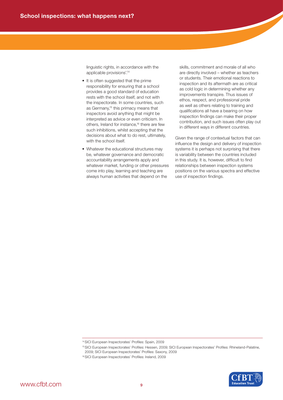linguistic rights, in accordance with the applicable provisions'.14

- It is often suggested that the prime responsibility for ensuring that a school provides a good standard of education rests with the school itself, and not with the inspectorate. In some countries, such as Germany,<sup>15</sup> this primacy means that inspectors avoid anything that might be interpreted as advice or even criticism. In others, Ireland for instance,<sup>16</sup> there are few such inhibitions, whilst accepting that the decisions about what to do rest, ultimately, with the school itself.
- Whatever the educational structures may be, whatever governance and democratic accountability arrangements apply and whatever market, funding or other pressures come into play, learning and teaching are always human activities that depend on the

skills, commitment and morale of all who are directly involved – whether as teachers or students. Their emotional reactions to inspection and its aftermath are as critical as cold logic in determining whether any improvements transpire. Thus issues of ethos, respect, and professional pride as well as others relating to training and qualifications all have a bearing on how inspection findings can make their proper contribution, and such issues often play out in different ways in different countries.

Given the range of contextual factors that can influence the design and delivery of inspection systems it is perhaps not surprising that there is variability between the countries included in this study. It is, however, difficult to find relationships between inspection systems positions on the various spectra and effective use of inspection findings.



<sup>14</sup> SICI European Inspectorates' Profiles: Spain, 2009

<sup>15</sup> SICI European Inspectorates' Profiles: Hessen, 2009; SICI European Inspectorates' Profiles: Rhineland-Palatine, 2009; SICI European Inspectorates' Profiles: Saxony, 2009

<sup>16</sup> SICI European Inspectorates' Profiles: Ireland, 2009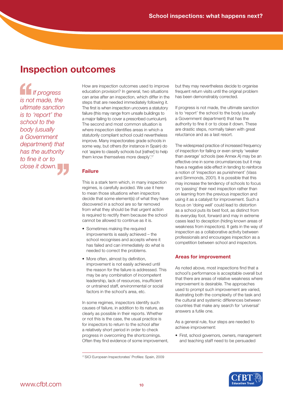## **Inspection outcomes**

*If progress is not made, the ultimate sanction is to 'report' the school to the body (usually a Government department) that has the authority close it down.* '' *to fine it or to*  If pro<br>
is not made<br>
ultimate sa<br>
is to 'repo

How are inspection outcomes used to improve education provision? In general, two situations can arise after an inspection, which differ in the steps that are needed immediately following it. The first is when inspection uncovers a statutory failure (this may range from unsafe buildings to a major failing to cover a prescribed curriculum). The second and most common situation is where inspection identifies areas in which a statutorily compliant school could nevertheless improve. Many inspectorates grade schools in some way, but others (for instance in Spain) do not 'aspire to classify schools but [rather] to help them know themselves more deeply'.17

## **Failure**

This is a stark term which, in many inspection regimes, is carefully avoided. We use it here to mean those situations when inspectors decide that some element(s) of what they have discovered in a school are so far removed from what they should be that urgent action is required to rectify them because the school cannot be allowed to continue as it is.

- Sometimes making the required improvements is easily achieved – the school recognises and accepts where it has failed and can immediately do what is needed to correct the problems.
- More often, almost by definition, improvement is not easily achieved until the reason for the failure is addressed. This may be any combination of incompetent leadership, lack of resources, insufficient or untrained staff, environmental or social factors in the school's area, etc.

In some regimes, inspectors identify such causes of failure, in addition to its nature, as clearly as possible in their reports. Whether or not this is the case, the usual practice is for inspectors to return to the school after a relatively short period in order to check progress in overcoming the shortcomings. Often they find evidence of some improvement, but they may nevertheless decide to organise frequent return visits until the original problem has been demonstrably corrected.

If progress is not made, the ultimate sanction is to 'report' the school to the body (usually a Government department) that has the authority to fine it or to close it down. These are drastic steps, normally taken with great reluctance and as a last resort.

The widespread practice of increased frequency of inspection for failing or even simply 'weaker than average' schools (see Annex A) may be an effective one in some circumstances but it may have a negative side effect in tending to reinforce a notion of 'inspection as punishment' (Vass and Simmonds, 2001). It is possible that this may increase the tendency of schools to focus on 'passing' their next inspection rather than on learning from the previous inspection and using it as a catalyst for improvement. Such a focus on 'doing well' could lead to distortion as a school puts its best foot, as distinct from its everyday foot, forward and may in extreme cases lead to deception (hiding known areas of weakness from inspectors). It gets in the way of inspection as a collaborative activity between professionals and encourages inspection as a competition between school and inspectors.

## **Areas for improvement**

As noted above, most inspections find that a school's performance is acceptable overall but that there are areas of relative weakness where improvement is desirable. The approaches used to prompt such improvement are varied, illustrating both the complexity of the task and the cultural and systemic differences between countries that make any search for 'universal' answers a futile one.

As a general rule, four steps are needed to achieve improvement:

• First, school governors, owners, management and teaching staff need to be persuaded



<sup>17</sup> SICI European Inspectorates' Profiles: Spain, 2009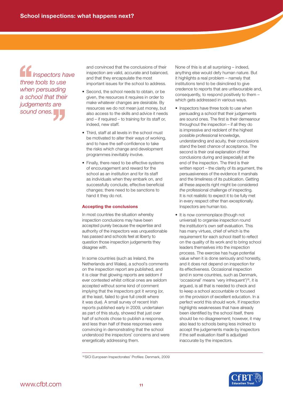*Inspectors have three tools to use when persuading a school that their judgements are sound ones.*  Inspectors h<br>
three tools to use<br>
when persuading<br>
a school that the<br>
judgements are<br>
sound ones.

and convinced that the conclusions of their inspection are valid, accurate and balanced, and that they encapsulate the most important issues for the school to address.

- Second, the school needs to obtain, or be given, the resources it requires in order to make whatever changes are desirable. By resources we do not mean just money, but also access to the skills and advice it needs and – if required – to training for its staff or, indeed, new staff.
- Third, staff at all levels in the school must be motivated to alter their ways of working, and to have the self-confidence to take the risks which change and development programmes inevitably involve.
- Finally, there need to be effective systems of encouragement and reward for the school as an institution and for its staff as individuals when they embark on, and successfully conclude, effective beneficial changes; there need to be sanctions to hand it they do not.

### **Accepting the conclusions**

In most countries the situation whereby inspection conclusions may have been accepted purely because the expertise and authority of the inspectors was unquestionable has passed and schools feel at liberty to question those inspection judgements they disagree with.

In some countries (such as Ireland, the Netherlands and Wales), a school's comments on the inspection report are published, and it is clear that glowing reports are seldom if ever contested whilst critical ones are seldom accepted without some kind of comment implying that the inspectors got it wrong (or, at the least, failed to give full credit where it was due). A small survey of recent Irish reports published early in 2009, undertaken as part of this study, showed that just over half of schools chose to publish a response, and less than half of these responses were convincing in demonstrating that the school understood the inspectors' concerns and were energetically addressing them.

None of this is at all surprising – indeed, anything else would defy human nature. But it highlights a real problem – namely that institutions tend to be disinclined to give credence to reports that are unfavourable and, consequently, to respond positively to them – which gets addressed in various ways.

- Inspectors have three tools to use when persuading a school that their judgements are sound ones. The first is their demeanour throughout the inspection – if all they do is impressive and redolent of the highest possible professional knowledge, understanding and acuity, their conclusions stand the best chance of acceptance. The second is their oral explanation of their conclusions during and (especially) at the end of the inspection. The third is their written report – the clarity of its argument, the persuasiveness of the evidence it marshals and the timeliness of its publication. Getting all these aspects right might be considered *the* professional challenge of inspecting. It is not realistic to expect it to be fully met in every respect other than exceptionally. Inspectors are human too.
- It is now commonplace (though not universal) to organise inspection round the institution's own self evaluation. This has many virtues, chief of which is the requirement for each school itself to reflect on the quality of its work and to bring school leaders themselves into the inspection process. The exercise has huge potential value when it is done seriously and honestly, and it does not depend on inspection for its effectiveness. Occasional inspection (and in some countries, such as Denmark, 'occasional' means 'very infrequent')18, it is argued, is all that is needed to check and to keep a school accountable or focused on the provision of excellent education. In a perfect world this should work. If inspection highlights weaknesses that have already been identified by the school itself, there should be no disagreement; however, it may also lead to schools being less inclined to accept the judgements made by inspectors if the self evaluation itself is adjudged inaccurate by the inspectors.



<sup>18</sup> SICI European Inspectorates' Profiles: Denmark, 2009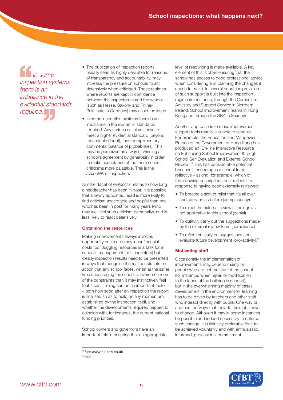*In some inspection systems there is an imbalance in the evidential standards required.*  In some<br>
inspection systhere is an<br>
imbalance in<br>
evidential star<br>
required.

- The publication of inspection reports, usually seen as highly desirable for reasons of transparency and accountability, may increase the pressure on schools to act defensively when criticised. Those regimes where reports are kept in confidence between the inspectorate and the school (such as Hesse, Saxony and Rhine-Palatinate in Germany) may avoid the issue.
- In some inspection systems there is an imbalance in the evidential standards required. Any serious criticisms have to meet a higher evidential standard (beyond reasonable doubt), than complimentary comments (balance of probabilities). This may be perceived as a way of winning a school's agreement by generosity in order to make acceptance of the more serious criticisms more palatable. This is the *realpolitik* of inspection.

Another facet of *realpolitik* relates to how long a headteacher has been in post. It is possible that a newly appointed head is more likely to find criticism acceptable and helpful than one who has been in post for many years (who may well feel such criticism personally), and is less likely to react defensively.

## **Obtaining the resources**

Making improvements always involves opportunity costs and may incur financial costs too. Juggling resources is a task for a school's management (not inspectors) but clearly inspection results need to be presented in ways that recognise the real constraints on action that any school faces, whilst at the same time encouraging the school to overcome more of the constraints than it may instinctively feel that it can. Timing can be an important factor – both how soon after an inspection the report is finalised so as to build on any momentum established by the inspection itself, and whether the developments required happen to coincide with, for instance, the current national funding priorities.

School owners and governors have an important role in ensuring that an appropriate level of resourcing is made available. A key element of this is often ensuring that the school has access to good professional advice when considering and planning the changes it needs to make. In several countries provision of such support is built into the inspection regime (for instance, through the Curriculum Advisory and Support Service in Northern Ireland, School Improvement Teams in Hong Kong and through the SBA in Saxony).

Another approach is to make improvement support tools readily available to schools. For example, the Education and Manpower Bureau of the Government of Hong Kong has produced an 'On-line Interactive Resource on Enhancing School Improvement through School Self Evaluation and External School Review'.19 This has considerable potential because it encourages a school to be reflective – asking, for example, which of the following descriptions best reflects its response to having been externally reviewed:

- To breathe a sigh of relief that it's all over and carry on as before (complacency)
- To reject the external review's findings as not applicable to this school (denial)
- To dutifully carry out the suggestions made by the external review team (compliance)
- To reflect critically on suggestions and evaluate future development (pro-activity).20

## **Motivating staff**

Occasionally the implementation of improvements may depend mainly on people who are not the staff of the school (for instance, when repair or modification to the fabric of the building is needed), but in the overwhelming majority of cases development in the environment for learning has to be driven by teachers and other staff who interact directly with pupils. One way or another, the ways that they do their jobs have to change. Although it may in some instances be possible and indeed necessary to enforce such change, it is infinitely preferable for it to be achieved voluntarily and with enthusiastic, informed, professional commitment.



<sup>19</sup> See www.hk.sitc.co.uk

 $^{20}$  Ibid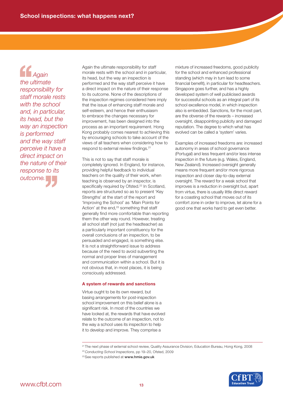*Again the ultimate responsibility for staff morale rests with the school and, in particular, its head, but the way an inspection is performed and the way staff perceive it have a direct impact on the nature of their*<br> *response to its*<br> *outcome. response to its*  <sup>4</sup><br>
Agair<br>
the ultima<br>
responsib<br>
staff mora

Again the ultimate responsibility for staff morale rests with the school and in particular, its head, but the way an inspection is performed and the way staff perceive it have a direct impact on the nature of their response to its outcome. None of the descriptions of the inspection regimes considered here imply that the issue of enhancing staff morale and self-esteem, and hence their enthusiasm to embrace the changes necessary for improvement, has been designed into the process as an important requirement. Hong Kong probably comes nearest to achieving this by encouraging schools to take account of the views of all teachers when considering how to respond to external review findings.<sup>21</sup>

This is not to say that staff morale is completely ignored. In England, for instance, providing helpful feedback to individual teachers on the quality of their work, when teaching is observed by an inspector, is specifically required by Ofsted.<sup>22</sup> In Scotland, reports are structured so as to present 'Key Strengths' at the start of the report and 'Improving the School' as 'Main Points for Action' at the end,<sup>23</sup> something that staff generally find more comfortable than reporting them the other way round. However, treating all school staff (not just the headteacher) as a particularly important constituency for the overall conclusions of an inspection, to be persuaded and engaged, is something else. It is not a straightforward issue to address because of the need to avoid subverting the normal and proper lines of management and communication within a school. But it is not obvious that, in most places, it is being consciously addressed.

### **A system of rewards and sanctions**

Virtue ought to be its own reward, but basing arrangements for post-inspection school improvement on this belief alone is a significant risk. In most of the countries we have looked at, the rewards that have evolved relate to the outcome of an inspection, not to the way a school uses its inspection to help it to develop and improve. They comprise a

mixture of increased freedoms, good publicity for the school and enhanced professional standing (which may in turn lead to some financial benefit), in particular for headteachers. Singapore goes further, and has a highly developed system of well publicised awards for successful schools as an integral part of its school excellence model, in which inspection also is embedded. Sanctions, for the most part, are the obverse of the rewards – increased oversight, disappointing publicity and damaged reputation. The degree to which what has evolved can be called a 'system' varies.

Examples of increased freedoms are: increased autonomy in areas of school governance (Portugal) and less frequent and/or less intense inspection in the future (e.g. Wales, England, New Zealand). Increased oversight generally means more frequent and/or more rigorous inspection and closer day-to-day external oversight. The reward for a weak school that improves is a reduction in oversight but, apart from virtue, there is usually little direct reward for a coasting school that moves out of its comfort zone in order to improve, let alone for a good one that works hard to get even better.

21 The next phase of external school review, Quality Assurance Division, Education Bureau, Hong Kong, 2008

- 22 *Conducting School Inspections*, pp 19–20, Ofsted, 2009
- <sup>23</sup> See reports published at www.hmie.gov.uk

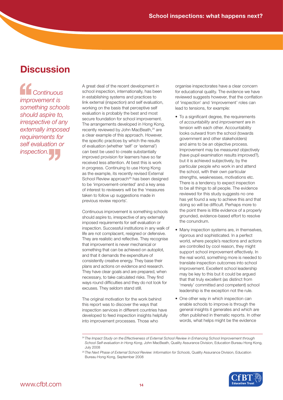## **Discussion**

*Continuous improvement is something schools should aspire to, irrespective of any externally imposed requirements for inspection.* '' *self evaluation or*  <sup>1</sup>Cont.<br>
improvem<br>
something<br>
should as

A great deal of the recent development in school inspection, internationally, has been in establishing systems and practices to link external (inspection) and self evaluation, working on the basis that perceptive self evaluation is probably the best and most secure foundation for school improvement. The arrangements developed in Hong Kong, recently reviewed by John MacBeath,<sup>24</sup> are a clear example of this approach. However, the specific practices by which the results of evaluation (whether 'self' or 'external') can best be used to create substantially improved provision for learners have so far received less attention. At best this is work in progress. Continuing to use Hong Kong as the example, its recently revised External School Review approach<sup>25</sup> has been designed to be 'improvement-oriented' and a key area of interest to reviewers will be the 'measures taken to follow up suggestions made in previous review reports'.

Continuous improvement is something schools should aspire to, irrespective of any externally imposed requirements for self evaluation or inspection. Successful institutions in any walk of life are not complacent, resigned or defensive. They are realistic and reflective. They recognise that improvement is never mechanical or something that can be achieved on autopilot, and that it demands the expenditure of consistently creative energy. They base their plans and actions on evidence and research. They have clear goals and are prepared, when necessary, to take calculated risks. They find ways round difficulties and they do not look for excuses. They seldom stand still.

The original motivation for the work behind this report was to discover the ways that inspection services in different countries have developed to feed inspection insights helpfully into improvement processes. Those who

organise inspectorates have a clear concern for educational quality. The evidence we have reviewed suggests however, that the conflation of 'inspection' and 'improvement' roles can lead to tensions, for example:

- To a significant degree, the requirements of *accountability* and *improvement* are in tension with each other. Accountability looks outward from the school (towards government and other stakeholders) and aims to be an objective process. Improvement may be *measured* objectively (have pupil examination results improved?), but it is achieved subjectively, by the particular people who work in and attend the school, with their own particular strengths, weaknesses, motivations etc. There is a tendency to expect inspection to be all things to all people. The evidence reviewed for this study suggests no one has yet found a way to achieve this and that doing so will be difficult. Perhaps more to the point there is little evidence of a properly grounded, evidence-based effort to resolve the conundrum.
- Many inspection systems are, in themselves, rigorous and sophisticated. In a perfect world, where people's reactions and actions are controlled by cool reason, they might support school improvement effectively. In the real world, something more is needed to translate inspection outcomes into school improvement. Excellent school leadership may be key to this but it could be argued that that truly excellent (as distinct from 'merely' committed and competent) school leadership is the exception not the rule.
- One other way in which inspection can enable schools to improve is through the general insights it generates and which are often published in thematic reports. In other words, what helps might be the evidence

<sup>25</sup> *The Next Phase of External School Review: Information for Schools*, Quality Assurance Division, Education Bureau Hong Kong, September 2008



<sup>24</sup> *The Impact Study on the Effectiveness of External School Review in Enhancing School Improvement through School Self-evaluation in Hong Kong*, John MacBeath, Quality Assurance Division, Education Bureau Hong Kong, July 2008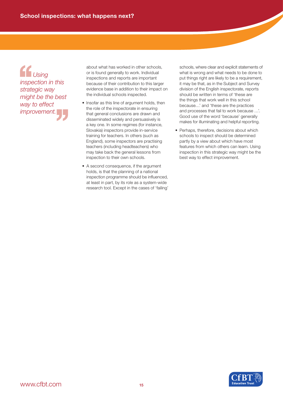*Using inspection in this strategic way might be the best way to effect improvement.*  <sup>1</sup><br>
Using<br>
inspection in this<br>
strategic way<br>
might be the best<br>
way to effect<br>
improvement.

about what has worked in other schools, or is found generally to work. Individual inspections and reports are important because of their contribution to this larger evidence base in addition to their impact on the individual schools inspected.

- Insofar as this line of argument holds, then the role of the inspectorate in ensuring that general conclusions are drawn and disseminated widely and persuasively is a key one. In some regimes (for instance, Slovakia) inspectors provide in-service training for teachers. In others (such as England), some inspectors are practising teachers (including headteachers) who may take back the general lessons from inspection to their own schools.
- A second consequence, if the argument holds, is that the planning of a national inspection programme should be influenced, at least in part, by its role as a system-wide research tool. Except in the cases of 'failing'

schools, where clear and explicit statements of what is wrong and what needs to be done to put things right are likely to be a requirement, it may be that, as in the Subject and Survey division of the English inspectorate, reports should be written in terms of 'these are the things that work well in this school because…' and 'these are the practices and processes that fail to work because …'. Good use of the word 'because' generally makes for illuminating and helpful reporting.

• Perhaps, therefore, decisions about which schools to inspect should be determined partly by a view about which have most features from which others can learn. Using inspection in this strategic way might be the best way to effect improvement.

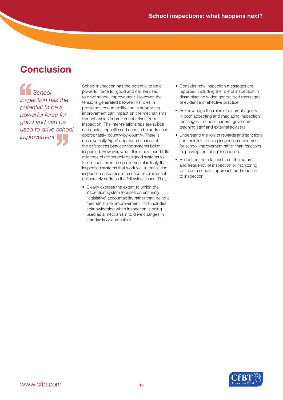# **Conclusion**

*School inspection has the potential to be a powerful force for*  pood and can be<br>used to drive scho<br>improvement. *used to drive school improvement.* Schc<br>
inspectior<br>
potential t<br>
powerful t

School inspection has the potential to be a powerful force for good and can be used to drive school improvement. However, the tensions generated between its roles in providing accountability and in supporting improvement can impact on the mechanisms through which improvement arises from inspection. The inter-relationships are subtle and context specific and need to be addressed appropriately, country-by-country. There is no universally 'right' approach because of the differences between the systems being inspected. However, whilst this study found little evidence of deliberately designed systems to turn inspection into improvement it is likely that inspection systems that work well in translating inspection outcomes into school improvement deliberately address the following issues. They:

• Clearly express the extent to which the inspection system focuses on ensuring (legislative) accountability rather than being a mechanism for improvement. This includes acknowledging when inspection is being used as a mechanism to drive changes in standards or curriculum.

- Consider how inspection messages are reported, including the role of inspection in disseminating wider, generalised messages of evidence of effective practice.
- Acknowledge the roles of different agents in both accepting and mediating inspection messages – school leaders, governors, teaching staff and external advisers.
- Understand the role of rewards and sanctions and their link to using inspection outcomes for school improvement rather than reactions to 'passing' or 'failing' inspection.
- Reflect on the relationship of the nature and frequency of inspection or monitoring visits on a schools approach and reaction to inspection.

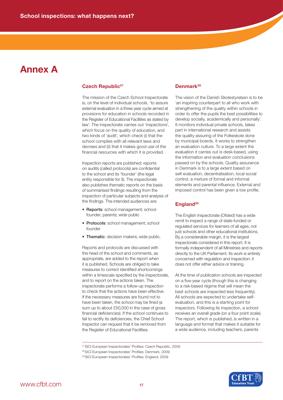## **Annex A**

## **Czech Republic<sup>27</sup>**

The mission of the Czech School Inspectorate is, on the level of individual schools, 'to assure external evaluation in a three year cycle aimed at provisions for education in schools recorded in the Register of Educational Facilities as stated by law'. The inspectorate carries out 'inspections', which focus on the quality of education, and two kinds of 'audit', which check (i) that the school complies with all relevant laws and decrees and (ii) that it makes good use of the financial resources with which it is provided.

Inspection reports are published: reports on audits (called protocols) are confidential to the school and its 'founder' (the legal entity responsible for it). The inspectorate also publishes thematic reports on the basis of summarised findings resulting from the inspection of particular subjects and analysis of the findings. The intended audiences are:

- Reports: school management; school founder; parents; wide public
- Protocols: school management; school founder
- Thematic: decision makers; wide public.

Reports and protocols are discussed with the head of the school and comments, as appropriate, are added to the report when it is published. Schools are obliged to take measures to correct identified shortcomings within a timescale specified by the inspectorate, and to report on the actions taken. The inspectorate performs a follow-up inspection to check that the actions have been effective. If the necessary measures are found not to have been taken, the school may be fined (a sum up to about £50,000 in the case of gross financial deficiencies). If the school continues to fail to rectify its deficiencies, the Chief School Inspector can request that it be removed from the Register of Educational Facilities.

## **Denmark28**

The vision of the Danish Skolestyrelsen is to be 'an inspiring counterpart to all who work with strengthening of the quality within schools in order to offer the pupils the best possibilities to develop socially, academically and personally'. It monitors individual private schools, takes part in international research and assists the quality assuring of the Folkeskole done by municipal boards. It works to strengthen an evaluation culture. To a large extent the evaluation it carries out is desk-based, using the information and evaluation conclusions passed on by the schools. Quality assurance in Denmark is to a large extent based on self-evaluation, decentralisation, local social control, a mixture of formal and informal elements and parental influence. External and imposed control has been given a low profile.

## **England29**

The English Inspectorate (Ofsted) has a wide remit to inspect a range of state-funded or regulated services for learners of all ages, not just schools and other educational institutions. By a considerable margin, it is the largest inspectorate considered in this report. It is formally independent of all Ministries and reports directly to the UK Parliament. Its work is entirely concerned with regulation and inspection: it does not offer either advice or training.

At the time of publication schools are inspected on a five-year cycle (though this is changing to a risk-based régime that will mean the best schools are inspected less frequently). All schools are expected to undertake selfevaluation, and this is a starting point for inspectors. Following its inspection, a school receives an overall grade (on a four point scale). The report, which is published, is written in a language and format that makes it suitable for a wide audience, including teachers, parents



<sup>27</sup> SICI European Inspectorates' Profiles: Czech Republic, 2009

<sup>28</sup> SICI European Inspectorates' Profiles: Denmark, 2009

<sup>29</sup> SICI European Inspectorates' Profiles: England, 2009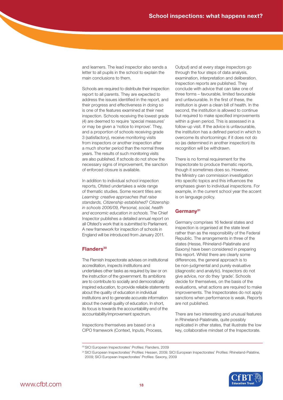and learners. The lead inspector also sends a letter to all pupils in the school to explain the main conclusions to them.

Schools are required to distribute their inspection report to all parents. They are expected to address the issues identified in the report, and their progress and effectiveness in doing so is one of the features examined at their next inspection. Schools receiving the lowest grade (4) are deemed to require 'special measures' or may be given a 'notice to improve'. They, and a proportion of schools receiving grade 3 (satisfactory), receive monitoring visits from inspectors or another inspection after a much shorter period than the normal three years. The results of such monitoring visits are also published. If schools do not show the necessary signs of improvement, the sanction of enforced closure is available.

In addition to individual school inspection reports, Ofsted undertakes a wide range of thematic studies. Some recent titles are: *Learning: creative approaches that raise standards, Citizenship established? Citizenship in schools 2006/09, Personal, social, health and economic education in schools.* The Chief Inspector publishes a detailed annual report on all Ofsted's work that is submitted to Parliament. A new framework for inspection of schools in England will be introduced from January 2011.

## Flanders<sup>30</sup>

The Flemish Inspectorate advises on institutional accreditation, inspects institutions and undertakes other tasks as required by law or on the instruction of the government. Its ambitions are to contribute to socially and democratically inspired education, to provide reliable statements about the quality of education in individual institutions and to generate accurate information about the overall quality of education. In short, its focus is towards the accountability end of the accountability/improvement spectrum.

Inspections themselves are based on a CIPO framework (Context, Inputs, Process, Output) and at every stage inspectors go through the four steps of data analysis, examination, interpretation and deliberation. Inspection reports are published. They conclude with advice that can take one of three forms – favourable, limited favourable and unfavourable. In the first of these, the institution is given a clean bill of health. In the second, the institution is allowed to continue but required to make specified improvements within a given period. This is assessed in a follow-up visit. If the advice is unfavourable, the institution has a defined period in which to overcome its shortcomings: if it does not do so (as determined in another inspection) its recognition will be withdrawn.

There is no formal requirement for the Inspectorate to produce thematic reports, though it sometimes does so. However, the Ministry can commission investigation into specific topics and this influences the emphases given to individual inspections. For example, in the current school year the accent is on language policy.

## **Germany31**

Germany comprises 16 federal states and inspection is organised at the state level rather than as the responsibility of the Federal Republic. The arrangements in three of the states (Hesse, Rhineland-Palatinate and Saxony) have been considered in preparing this report. Whilst there are clearly some differences, the general approach is to be non-judgmental and purely evaluative (diagnostic and analytic). Inspectors do not give advice, nor do they 'grade'. Schools decide for themselves, on the basis of the evaluations, what actions are required to make improvements. The Inspectorates do not apply sanctions when performance is weak. Reports are not published.

There are two interesting and unusual features in Rhineland-Palatinate, quite possibly replicated in other states, that illustrate the low key, collaborative mindset of the Inspectorate.

<sup>31</sup> SICI European Inspectorates' Profiles: Hessen, 2009; SICI European Inspectorates' Profiles: Rhineland-Palatine, 2009; SICI European Inspectorates' Profiles: Saxony, 2009



<sup>30</sup> SICI European Inspectorates' Profiles: Flanders, 2009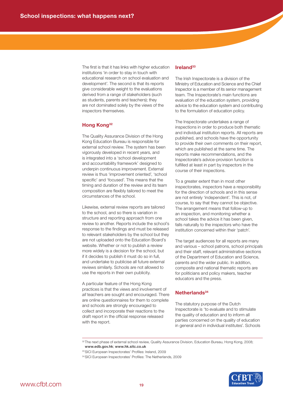The first is that it has links with higher education institutions 'in order to stay in touch with educational research on school evaluation and development'. The second is that its reports give considerable weight to the evaluations derived from a range of stakeholders (such as students, parents and teachers); they are not dominated solely by the views of the inspectors themselves.

## **Hong Kong32**

The Quality Assurance Division of the Hong Kong Education Bureau is responsible for external school review. The system has been vigorously developed in recent years, and is integrated into a 'school development and accountability framework' designed to underpin continuous improvement. External review is thus 'improvement oriented', 'school specific' and 'focused'. This means that the timing and duration of the review and its team composition are flexibly tailored to meet the circumstances of the school.

Likewise, external review reports are tailored to the school, and so there is variation in structure and reporting approach from one review to another. Reports include the school's response to the findings and must be released to relevant stakeholders by the school but they are not uploaded onto the Education Board's website. Whether or not to publish a review more widely is a decision for the school, but if it decides to publish it must do so in full, and undertake to publicise all future external reviews similarly. Schools are not allowed to use the reports in their own publicity.

A particular feature of the Hong Kong practices is that the views and involvement of *all* teachers are sought and encouraged. There are online questionnaires for them to complete and schools are strongly encouraged to collect and incorporate their reactions to the draft report in the official response released with the report.

#### **Ireland33**

The Irish Inspectorate is a division of the Ministry of Education and Science and the Chief Inspector is a member of its senior management team. The Inspectorate's main functions are evaluation of the education system, providing advice to the education system and contributing to the formulation of education policy.

The Inspectorate undertakes a range of inspections in order to produce both thematic and individual institution reports. All reports are published, and schools have the opportunity to provide their own comments on their report, which are published at the same time. The reports make recommendations, and the Inspectorate's advice-provision function is fulfilled at least in part by inspectors in the course of their inspections.

To a greater extent than in most other inspectorates, inspectors have a responsibility for the direction of schools and in this sense are not entirely 'independent'. This is not, of course, to say that they cannot be objective. The arrangement means that follow-up to an inspection, and monitoring whether a school takes the advice it has been given, falls naturally to the inspectors who have the institution concerned within their 'patch'.

The target audiences for all reports are many and various – school patrons, school principals and their staff, relevant administrative sections of the Department of Education and Science, parents and the wider public. In addition, composite and national thematic reports are for politicians and policy makers, teacher educators and the press.

## **Netherlands34**

The statutory purpose of the Dutch Inspectorate is 'to evaluate and to stimulate the quality of education and to inform all parties concerned on the quality of education in general and in individual institutes'. Schools

<sup>32</sup> The next phase of external school review, Quality Assurance Division, Education Bureau, Hong Kong, 2008; www.edb.gov.hk; www.hk.sitc.co.uk



<sup>33</sup> SICI European Inspectorates' Profiles: Ireland, 2009

<sup>34</sup> SICI European Inspectorates' Profiles: The Netherlands, 2009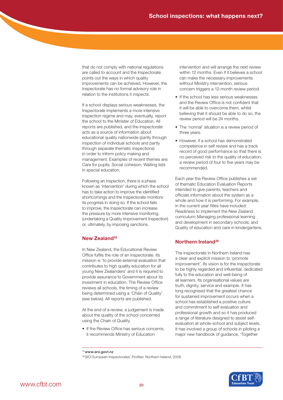that do not comply with national regulations are called to account and the Inspectorate points out the ways in which quality improvements can be achieved. However, the Inspectorate has no formal advisory role in relation to the institutions it inspects.

If a school displays serious weaknesses, the Inspectorate implements a more intensive inspection regime and may, eventually, report the school to the Minister of Education. All reports are published, and the Inspectorate acts as a source of information about educational quality nationwide (partly through inspection of individual schools and partly through separate thematic inspections) in order to inform policy making and management. Examples of recent themes are: Care for pupils; Social cohesion; Waiting lists in special education.

Following an inspection, there is a phase known as 'intervention' during which the school has to take action to improve the identified shortcomings and the Inspectorate monitors its progress in doing so. If the school fails to improve, the Inspectorate can increase the pressure by more intensive monitoring (undertaking a Quality Improvement Inspection) or, ultimately, by imposing sanctions.

## **New Zealand35**

In New Zealand, the Educational Review Office fulfils the role of an inspectorate. Its mission is 'to provide external evaluation that contributes to high quality education for all young New Zealanders' and it is required to provide assurance to Government about its investment in education. The Review Office reviews all schools, the timing of a review being determined using a 'Chain of Quality' (see below). All reports are published.

At the end of a review, a judgement is made about the quality of the school concerned using the Chain of Quality.

• If the Review Office has serious concerns, it recommends Ministry of Education

intervention and will arrange the next review within 12 months. Even if it believes a school can make the necessary improvements without Ministry intervention, serious concern triggers a 12-month review period.

- If the school has less serious weaknesses and the Review Office is not confident that it will be able to overcome them, whilst believing that it should be able to do so, the review period will be 24 months.
- The 'normal' situation is a review period of three years.
- However, if a school has demonstrated competence in self review and has a track record of good performance so that there is no perceived risk to the quality of education, a review period of four to five years may be recommended.

Each year the Review Office publishes a set of thematic Education Evaluation Reports intended to give parents, teachers and officials information about the system as a whole and how it is performing. For example, in the current year titles have included: Readiness to implement the New Zealand curriculum; Managing professional learning and development in secondary schools; and Quality of education and care in kindergartens.

## **Northern Ireland36**

The inspectorate in Northern Ireland has a clear and explicit mission to 'promote improvement'. Its vision is for the inspectorate to be highly regarded and influential, dedicated fully to the education and well-being of all learners. Its organisational values are truth, dignity, service and example. It has long recognised that the greatest chance for sustained improvement occurs when a school has established a positive culture and commitment to self evaluation and professional growth and so it has produced a range of literature designed to assist selfevaluation at whole-school and subject levels. It has involved a group of schools in piloting a major new handbook of guidance, 'Together



<sup>35</sup> www.ero.govt.nz

<sup>36</sup> SICI European Inspectorates' Profiles: Northern Ireland, 2008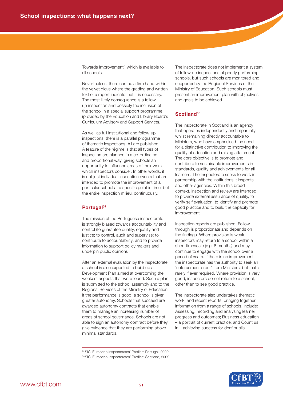Towards Improvement', which is available to all schools.

Nevertheless, there can be a firm hand within the velvet glove where the grading and written text of a report indicate that it is necessary. The most likely consequence is a followup inspection and possibly the inclusion of the school in a special support programme (provided by the Education and Library Board's Curriculum Advisory and Support Service).

As well as full institutional and follow-up inspections, there is a parallel programme of thematic inspections. All are published. A feature of the régime is that all types of inspection are planned in a co-ordinated and proportional way, giving schools an opportunity to influence areas of their work which inspectors consider. In other words, it is not just individual inspection events that are intended to promote the improvement of a particular school at a specific point in time, but the entire inspection milieu, continuously.

### **Portugal37**

The mission of the Portuguese inspectorate is strongly biased towards accountability and control (to guarantee quality, equality and justice; to control, audit and supervise; to contribute to accountability; and to provide information to support policy makers and underpin public opinion).

After an external evaluation by the Inspectorate, a school is also expected to build up a Development Plan aimed at overcoming the weakest aspects that were found. Such a plan is submitted to the school assembly and to the Regional Services of the Ministry of Education. If the performance is good, a school is given greater autonomy. Schools that succeed are awarded autonomy contracts that enable them to manage an increasing number of areas of school governance. Schools are not able to sign an autonomy contract before they give evidence that they are performing above minimal standards.

The inspectorate does not implement a system of follow-up inspections of poorly performing schools, but such schools are monitored and supported by the Regional Services of the Ministry of Education. Such schools must present an improvement plan with objectives and goals to be achieved.

## **Scotland38**

The Inspectorate in Scotland is an agency that operates independently and impartially whilst remaining directly accountable to Ministers, who have emphasised the need for a distinctive contribution to improving the quality of education and raising attainment. The core objective is to promote and contribute to sustainable improvements in standards, quality and achievements for all learners. The Inspectorate seeks to work in partnership with the institutions it inspects and other agencies. Within this broad context, inspection and review are intended to provide external assurance of quality, to verify self evaluation, to identify and promote good practice and to build the capacity for improvement

Inspection reports are published. Followthrough is proportionate and depends on the findings. Where provision is weak, inspectors may return to a school within a short timescale (e.g. 6 months) and may continue to engage with the school over a period of years. If there is no improvement, the inspectorate has the authority to seek an 'enforcement order' from Ministers, but that is rarely if ever required. Where provision is very good, inspectors do not return to a school, other than to see good practice.

The Inspectorate also undertakes thematic work, and recent reports, bringing together information from a range of schools, include: Assessing, recording and analysing learner progress and outcomes; Business education – a portrait of current practice; and Count us in – achieving success for deaf pupils.



<sup>37</sup> SICI European Inspectorates' Profiles: Portugal, 2009

<sup>38</sup> SICI European Inspectorates' Profiles: Scotland, 2009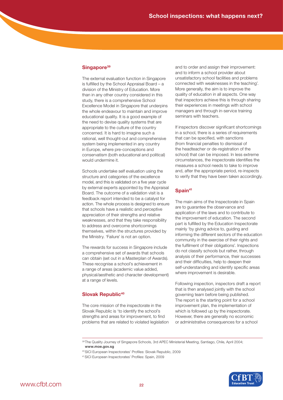### Singapore<sup>39</sup>

The external evaluation function in Singapore is fulfilled by the School Appraisal Board – a division of the Ministry of Education. More than in any other country considered in this study, there is a comprehensive School Excellence Model in Singapore that underpins the whole endeavour to maintain and improve educational quality. It is a good example of the need to devise quality systems that are appropriate to the culture of the country concerned. It is hard to imagine such a rational, well thought-out and comprehensive system being implemented in any country in Europe, where pre-conceptions and conservatism (both educational and political) would undermine it.

Schools undertake self evaluation using the structure and categories of the excellence model, and this is validated on a five year cycle by external experts appointed by the Appraisal Board. The outcome of a validation visit is a feedback report intended to be a catalyst for action. The whole process is designed to ensure that schools have a realistic and perceptive appreciation of their strengths and relative weaknesses, and that they take responsibility to address and overcome shortcomings themselves, within the structures provided by the Ministry. 'Failure' is not an option.

The rewards for success in Singapore include a comprehensive set of awards that schools can obtain (set out in a Masterplan of Awards). These recognise a school's achievement in a range of areas (academic value added, physical/aesthetic and character development) at a range of levels.

## **Slovak Republic<sup>40</sup>**

The core mission of the inspectorate in the Slovak Republic is 'to identify the school's strengths and areas for improvement, to find problems that are related to violated legislation and to order and assign their improvement: and to inform a school provider about unsatisfactory school facilities and problems connected with weaknesses in the teaching'. More generally, the aim is to improve the quality of education in all aspects. One way that inspectors achieve this is through sharing their experiences in meetings with school managers and through in-service training seminars with teachers.

If inspectors discover significant shortcomings in a school, there is a series of requirements that can be specified, with sanctions (from financial penalties to dismissal of the headteacher or de-registration of the school) that can be imposed. In less extreme circumstances, the inspectorate identifies the measures a school needs to take to improve and, after the appropriate period, re-inspects to verify that they have been taken accordingly.

## **Spain41**

The main aims of the Inspectorate in Spain are to guarantee the observance and application of the laws and to contribute to the improvement of education. The second part is fulfilled by the Education Inspectorate mainly 'by giving advice to, guiding and informing the different sectors of the education community in the exercise of their rights and the fulfilment of their obligations'. Inspections do not classify schools but rather, through analysis of their performance, their successes and their difficulties, help to deepen their self-understanding and identify specific areas where improvement is desirable.

Following inspection, inspectors draft a report that is then analysed jointly with the school governing team before being published. The report is the starting point for a school improvement plan, the implementation of which is followed up by the inspectorate. However, there are generally no economic or administrative consequences for a school

- 40 SICI European Inspectorates' Profiles: Slovak Republic, 2009
- 41 SICI European Inspectorates' Profiles: Spain, 2009



<sup>&</sup>lt;sup>39</sup> The Quality Journey of Singapore Schools, 3rd APEC Ministerial Meeting, Santiago, Chile, April 2004; www.moe.gov.sg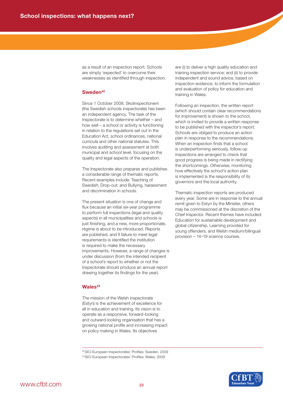as a result of an inspection report. Schools are simply 'expected' to overcome their weaknesses as identified through inspection.

## **Sweden42**

Since 1 October 2008, Skolinspectionem (the Swedish schools inspectorate) has been an independent agency. The task of the Inspectorate is to determine whether – and how well – a school or activity is functioning in relation to the regulations set out in the Education Act, school ordinances, national curricula and other national statutes. This involves auditing and assessment at both municipal and school level, focusing on the quality and legal aspects of the operation.

The Inspectorate also prepares and publishes a considerable range of thematic reports. Recent examples include: Teaching of Swedish; Drop-out; and Bullying, harassment and discrimination in schools.

The present situation is one of change and flux because an initial six-year programme to perform full inspections (legal and quality aspects) in all municipalities and schools is just finishing, and a new, more proportionate, régime is about to be introduced. Reports are published, and if failure to meet legal requirements is identified the institution is required to make the necessary improvements. However, a range of changes is under discussion (from the intended recipient of a school's report to whether or not the Inspectorate should produce an annual report drawing together its findings for the year).

#### **Wales43**

The mission of the Welsh inspectorate (Estyn) is the achievement of excellence for all in education and training. Its vision is to operate as a responsive, forward-looking and outward-looking organisation that has a growing national profile and increasing impact on policy making in Wales. Its objectives

are (i) to deliver a high quality education and training inspection service; and (ii) to provide independent and sound advice, based on inspection evidence, to inform the formulation and evaluation of policy for education and training in Wales.

Following an inspection, the written report (which should contain clear recommendations for improvement) is shown to the school, which is invited to provide a written response to be published with the inspector's report. Schools are obliged to produce an action plan in response to the recommendations. When an inspection finds that a school is underperforming seriously, follow-up inspections are arranged to check that good progress is being made in rectifying the shortcomings. Otherwise, monitoring how effectively the school's action plan is implemented is the responsibility of its governors and the local authority.

Thematic inspection reports are produced every year. Some are in response to the annual remit given to Estyn by the Minister, others may be commissioned at the discretion of the Chief Inspector. Recent themes have included: Education for sustainable development and global citizenship, Learning provided for young offenders, and Welsh medium/bilingual provision – 14–19 science courses.

42 SICI European Inspectorates' Profiles: Sweden, 2009



<sup>43</sup> SICI European Inspectorates' Profiles: Wales, 2009